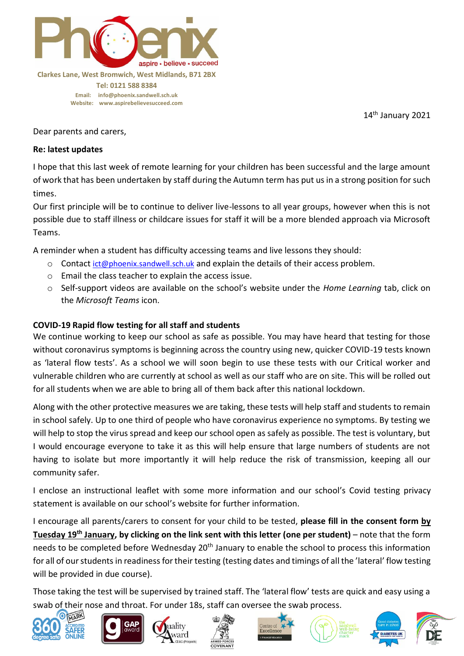

**Email: [info@phoenix.sandwell.sch.uk](mailto:info@phoenix.sandwell.sch.uk) Website: www.aspirebelievesucceed.com**

14 th January 2021

Dear parents and carers,

#### **Re: latest updates**

I hope that this last week of remote learning for your children has been successful and the large amount of work that has been undertaken by staff during the Autumn term has put us in a strong position for such times.

Our first principle will be to continue to deliver live-lessons to all year groups, however when this is not possible due to staff illness or childcare issues for staff it will be a more blended approach via Microsoft Teams.

A reminder when a student has difficulty accessing teams and live lessons they should:

- $\circ$  Contact [ict@phoenix.sandwell.sch.uk](mailto:ict@phoenix.sandwell.sch.uk) and explain the details of their access problem.
- o Email the class teacher to explain the access issue.
- o Self-support videos are available on the school's website under the *Home Learning* tab, click on the *Microsoft Teams* icon.

### **COVID-19 Rapid flow testing for all staff and students**

We continue working to keep our school as safe as possible. You may have heard that testing for those without coronavirus symptoms is beginning across the country using new, quicker COVID-19 tests known as 'lateral flow tests'. As a school we will soon begin to use these tests with our Critical worker and vulnerable children who are currently at school as well as our staff who are on site. This will be rolled out for all students when we are able to bring all of them back after this national lockdown.

Along with the other protective measures we are taking, these tests will help staff and students to remain in school safely. Up to one third of people who have coronavirus experience no symptoms. By testing we will help to stop the virus spread and keep our school open as safely as possible. The test is voluntary, but I would encourage everyone to take it as this will help ensure that large numbers of students are not having to isolate but more importantly it will help reduce the risk of transmission, keeping all our community safer.

I enclose an instructional leaflet with some more information and our school's Covid testing privacy statement is available on our school's website for further information.

I encourage all parents/carers to consent for your child to be tested, **please fill in the consent form by Tuesday 19th January, by clicking on the link sent with this letter (one per student)** – note that the form needs to be completed before Wednesday 20<sup>th</sup> January to enable the school to process this information for all of our students in readiness for their testing (testing dates and timings of all the 'lateral' flow testing will be provided in due course).

Those taking the test will be supervised by trained staff. The 'lateral flow' tests are quick and easy using a swab of their nose and throat. For under 18s, staff can oversee the swab process.